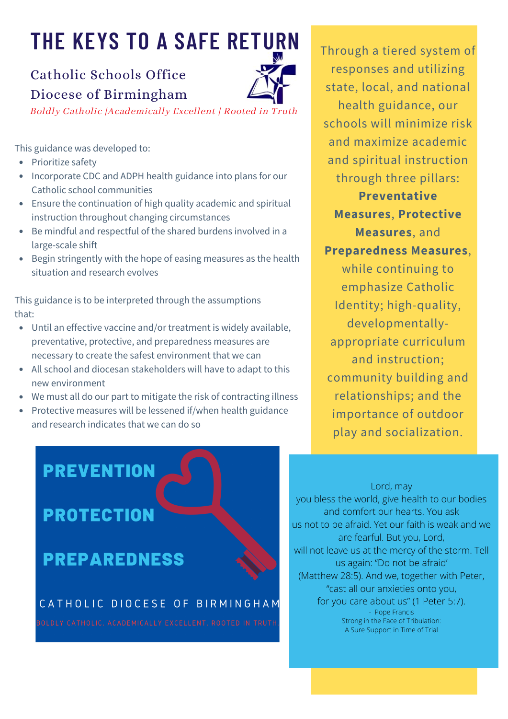# **THE KEYS TO A SAFE RETURN**

### Catholic Schools Office Diocese of Birmingham



Boldly Catholic |Academically Excellent | Rooted in Truth

This guidance was developed to:

- Prioritize safety
- Incorporate CDC and ADPH health guidance into plans for our Catholic school communities
- Ensure the continuation of high quality academic and spiritual instruction throughout changing circumstances
- Be mindful and respectful of the shared burdens involved in a large-scale shift
- Begin stringently with the hope of easing measures as the health situation and research evolves

This guidance is to be interpreted through the assumptions that:

- Until an effective vaccine and/or treatment is widely available, preventative, protective, and preparedness measures are necessary to create the safest environment that we can
- All school and diocesan stakeholders will have to adapt to this new environment
- We must all do our part to mitigate the risk of contracting illness
- Protective measures will be lessened if/when health guidance and research indicates that we can do so

Through a tiered system of responses and utilizing state, local, and national health guidance, our schools will minimize risk and maximize academic and spiritual instruction through three pillars: **Preventative Measures**, **Protective Measures**, and **Preparedness Measures**, while continuing to emphasize Catholic Identity; high-quality, developmentallyappropriate curriculum and instruction; community building and relationships; and the importance of outdoor

**PREVENTION** 

## **PROTECTION**

### **PREPAREDNESS**

#### CATHOLIC DIOCESE OF BIRMINGHAM

Lord, may you bless the world, give health to our bodies and comfort our hearts. You ask us not to be afraid. Yet our faith is weak and we are fearful. But you, Lord, will not leave us at the mercy of the storm. Tell us again: "Do not be afraid' (Matthew 28:5). And we, together with Peter, "cast all our anxieties onto you, for you care about us" (1 Peter 5:7). - Pope Francis Strong in the Face of Tribulation: A Sure Support in Time of Trial

play and socialization.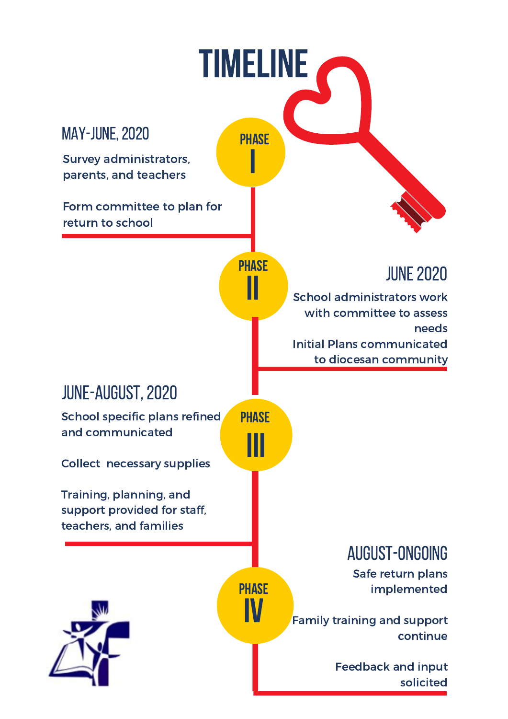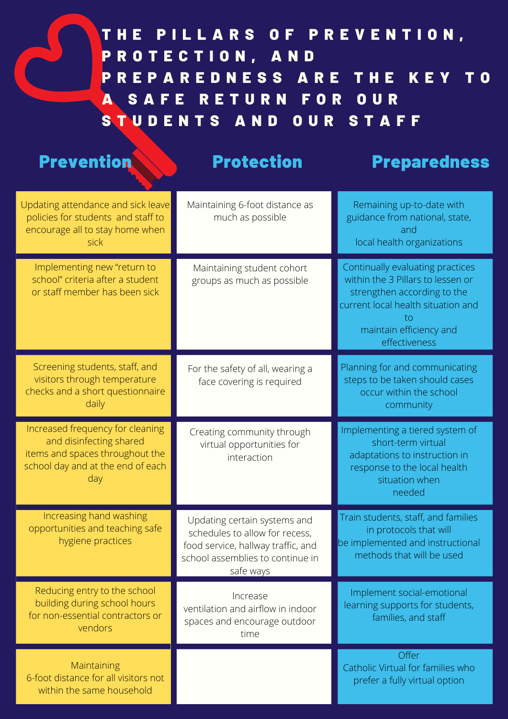### THE PILLARS OF PREVENTION, PROTECTION, AND P R E P A R E D N E S S A R E T H E K E Y T O A SAFE RETURN FOR OUR STUDENTS AND OUR STAFF

| <b>Prevention</b>                                                                                                                          | <b>Protection</b>                                                                                                                                     | <b>Preparedness</b>                                                                                                                                                                          |
|--------------------------------------------------------------------------------------------------------------------------------------------|-------------------------------------------------------------------------------------------------------------------------------------------------------|----------------------------------------------------------------------------------------------------------------------------------------------------------------------------------------------|
| Updating attendance and sick leave<br>policies for students and staff to<br>encourage all to stay home when<br>sick                        | Maintaining 6-foot distance as<br>much as possible                                                                                                    | Remaining up-to-date with<br>guidance from national, state,<br>and<br>local health organizations                                                                                             |
| Implementing new "return to<br>school" criteria after a student<br>or staff member has been sick                                           | Maintaining student cohort<br>groups as much as possible                                                                                              | Continually evaluating practices<br>within the 3 Pillars to lessen or<br>strengthen according to the<br>current local health situation and<br>tο<br>maintain efficiency and<br>effectiveness |
| Screening students, staff, and<br>visitors through temperature<br>checks and a short questionnaire<br>daily                                | For the safety of all, wearing a<br>face covering is required                                                                                         | Planning for and communicating<br>steps to be taken should cases<br>occur within the school<br>community                                                                                     |
| Increased frequency for cleaning<br>and disinfecting shared<br>items and spaces throughout the<br>school day and at the end of each<br>day | Creating community through<br>virtual opportunities for<br>interaction                                                                                | Implementing a tiered system of<br>short-term virtual<br>adaptations to instruction in<br>response to the local health<br>situation when<br>needed                                           |
| Increasing hand washing<br>opportunities and teaching safe<br>hygiene practices                                                            | Updating certain systems and<br>schedules to allow for recess,<br>food service, hallway traffic, and<br>school assemblies to continue in<br>safe ways | Train students, staff, and families<br>in protocols that will<br>be implemented and instructional<br>methods that will be used                                                               |
| Reducing entry to the school<br>building during school hours<br>for non-essential contractors or<br>vendors                                | Increase<br>ventilation and airflow in indoor<br>spaces and encourage outdoor<br>time                                                                 | Implement social-emotional<br>learning supports for students,<br>families, and staff                                                                                                         |
| Maintaining<br>6-foot distance for all visitors not<br>within the same household                                                           |                                                                                                                                                       | Offer<br>Catholic Virtual for families who<br>prefer a fully virtual option                                                                                                                  |